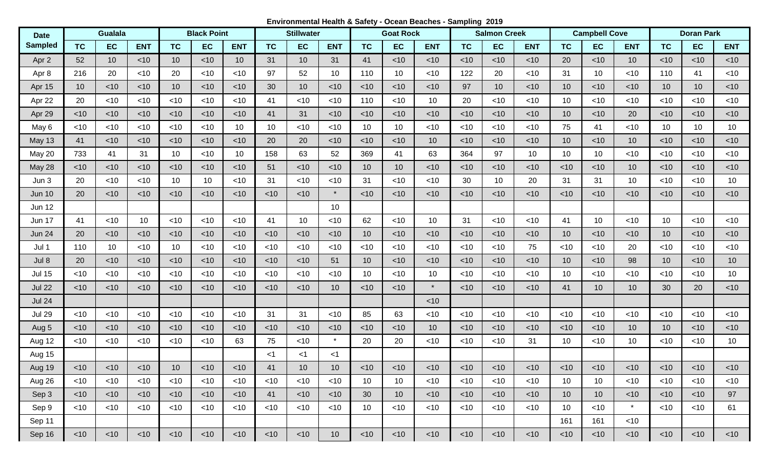**Environmental Health & Safety - Ocean Beaches - Sampling 2019**

| <b>Date</b>    | <b>Gualala</b> |        |            |                 | <b>Black Point</b> |            | <b>Stillwater</b> |                 |            | <b>Goat Rock</b> |                 |            | <b>Salmon Creek</b> |                 |            | <b>Campbell Cove</b> |        |            | <b>Doran Park</b> |                 |                 |
|----------------|----------------|--------|------------|-----------------|--------------------|------------|-------------------|-----------------|------------|------------------|-----------------|------------|---------------------|-----------------|------------|----------------------|--------|------------|-------------------|-----------------|-----------------|
| <b>Sampled</b> | <b>TC</b>      | EC     | <b>ENT</b> | <b>TC</b>       | <b>EC</b>          | <b>ENT</b> | <b>TC</b>         | EC              | <b>ENT</b> | <b>TC</b>        | <b>EC</b>       | <b>ENT</b> | <b>TC</b>           | <b>EC</b>       | <b>ENT</b> | <b>TC</b>            | EC     | <b>ENT</b> | <b>TC</b>         | <b>EC</b>       | <b>ENT</b>      |
| Apr 2          | 52             | 10     | $<$ 10     | 10 <sup>°</sup> | $<$ 10             | 10         | 31                | 10 <sup>1</sup> | 31         | 41               | $<$ 10          | $<$ 10     | < 10                | $<$ 10          | $<$ 10     | 20                   | $<$ 10 | 10         | < 10              | $<$ 10          | $<$ 10          |
| Apr 8          | 216            | 20     | $<$ 10     | 20              | $<$ 10             | $<$ 10     | 97                | 52              | 10         | 110              | 10 <sup>°</sup> | $<$ 10     | 122                 | 20              | $<$ 10     | 31                   | 10     | $<$ 10     | 110               | 41              | $<$ 10          |
| Apr 15         | 10             | $<$ 10 | $<$ 10     | 10              | $<$ 10             | $<$ 10     | 30                | 10 <sup>°</sup> | $<$ 10     | $<$ 10           | $<$ 10          | $<$ 10     | 97                  | 10 <sup>°</sup> | $<$ 10     | 10                   | $<$ 10 | $<$ 10     | 10                | 10 <sup>°</sup> | $<$ 10          |
| Apr 22         | 20             | $<$ 10 | $<$ 10     | $<$ 10          | $<$ 10             | $<$ 10     | 41                | <10             | $<$ 10     | 110              | $<$ 10          | 10         | 20                  | $<$ 10          | <10        | 10                   | $<$ 10 | $<$ 10     | $<$ 10            | $<$ 10          | $<$ 10          |
| Apr 29         | $<$ 10         | $<$ 10 | $<$ 10     | $<$ 10          | $<$ 10             | < 10       | 41                | 31              | $<$ 10     | $<$ 10           | $<$ 10          | $<$ 10     | < 10                | $<$ 10          | $<$ 10     | 10                   | $<$ 10 | 20         | $<$ 10            | $<$ 10          | $<$ 10          |
| May 6          | $<$ 10         | $<$ 10 | $<$ 10     | $<$ 10          | $<$ 10             | 10         | 10                | <10             | $<$ 10     | 10               | 10              | $<$ 10     | $<$ 10              | <10             | <10        | 75                   | 41     | $<$ 10     | 10                | 10              | 10              |
| May 13         | 41             | $<$ 10 | $<$ 10     | $<$ 10          | $<$ 10             | $<$ 10     | 20                | 20              | $<$ 10     | $<$ 10           | $<$ 10          | 10         | $<$ 10              | $<$ 10          | <10        | 10                   | $<$ 10 | 10         | $<$ 10            | $<$ 10          | $<$ 10          |
| May 20         | 733            | 41     | 31         | 10              | $<$ 10             | 10         | 158               | 63              | 52         | 369              | 41              | 63         | 364                 | 97              | 10         | 10                   | 10     | <10        | $<$ 10            | $<$ 10          | $<$ 10          |
| May 28         | $<$ 10         | $<$ 10 | $<$ 10     | < 10            | ~10                | $<$ 10     | 51                | $<$ 10          | < 10       | 10               | 10 <sup>1</sup> | $<$ 10     | $<$ 10              | < 10            | $<$ 10     | < 10                 | < 10   | 10         | $<$ 10            | $<$ 10          | $<$ 10          |
| Jun 3          | 20             | $<$ 10 | $<$ 10     | 10              | 10                 | $<$ 10     | 31                | <10             | $<$ 10     | 31               | $<$ 10          | $<$ 10     | 30                  | 10              | 20         | 31                   | 31     | 10         | $<$ 10            | <10             | 10 <sup>°</sup> |
| <b>Jun 10</b>  | 20             | $<$ 10 | $<$ 10     | $<$ 10          | < 10               | $<$ 10     | $<$ 10            | $<$ 10          | $\star$    | < 10             | $<$ 10          | $<$ 10     | $<$ 10              | $<$ 10          | < 10       | < 10                 | < 10   | < 10       | < 10              | $<$ 10          | $<$ 10          |
| <b>Jun 12</b>  |                |        |            |                 |                    |            |                   |                 | 10         |                  |                 |            |                     |                 |            |                      |        |            |                   |                 |                 |
| <b>Jun 17</b>  | 41             | $<$ 10 | 10         | $<$ 10          | $<$ 10             | $<$ 10     | 41                | 10              | $<$ 10     | 62               | <10             | 10         | 31                  | <10             | <10        | 41                   | 10     | $<$ 10     | 10                | $<$ 10          | $<$ 10          |
| <b>Jun 24</b>  | 20             | $<$ 10 | $<$ 10     | $<$ 10          | < 10               | $<$ 10     | < 10              | $<$ 10          | < 10       | 10               | $<$ 10          | $<$ 10     | < 10                | $<$ 10          | $<$ 10     | 10                   | $<$ 10 | $<$ 10     | 10                | $<$ 10          | $<$ 10          |
| Jul 1          | 110            | 10     | $<$ 10     | 10              | $<$ 10             | $<$ 10     | <10               | <10             | $<$ 10     | $<$ 10           | $<$ 10          | $<$ 10     | $<$ 10              | $<$ 10          | 75         | $<$ 10               | $<$ 10 | 20         | <10               | $<$ 10          | $<$ 10          |
| Jul 8          | 20             | $<$ 10 | $<$ 10     | < 10            | $<$ 10             | $<$ 10     | $<$ 10            | $<$ 10          | 51         | 10               | $<$ 10          | $<$ 10     | < 10                | < 10            | $<$ 10     | 10                   | $<$ 10 | 98         | 10                | $<$ 10          | 10              |
| <b>Jul 15</b>  | < 10           | $<$ 10 | $<$ 10     | $<$ 10          | $<$ 10             | $<$ 10     | $<$ 10            | <10             | $<$ 10     | 10               | $<$ 10          | 10         | $<$ 10              | $<$ 10          | $<$ 10     | 10                   | <10    | $<$ 10     | $<$ 10            | $<$ 10          | 10              |
| <b>Jul 22</b>  | < 10           | $<$ 10 | < 10       | $<$ 10          | $<$ 10             | $<$ 10     | $<$ 10            | < 10            | 10         | < 10             | $<$ 10          | $\star$    | < 10                | < 10            | $<$ 10     | 41                   | 10     | 10         | 30                | 20              | $<$ 10          |
| <b>Jul 24</b>  |                |        |            |                 |                    |            |                   |                 |            |                  |                 | $<$ 10     |                     |                 |            |                      |        |            |                   |                 |                 |
| <b>Jul 29</b>  | $<$ 10         | $<$ 10 | < 10       | $<$ 10          | $<$ 10             | $<$ 10     | 31                | 31              | $<$ 10     | 85               | 63              | $<$ 10     | $<$ 10              | <10             | $<$ 10     | $<$ 10               | $<$ 10 | <10        | $<$ 10            | $<$ 10          | $<$ 10          |
| Aug 5          | $<$ 10         | $<$ 10 | $<$ 10     | < 10            | $<$ 10             | $<$ 10     | < 10              | < 10            | < 10       | < 10             | $<$ 10          | 10         | < 10                | $<$ 10          | $<$ 10     | < 10                 | $<$ 10 | 10         | 10                | ~10             | $<$ 10          |
| Aug 12         | $<$ 10         | $<$ 10 | $<$ 10     | $<$ 10          | $<$ 10             | 63         | 75                | <10             | $\star$    | 20               | 20              | $<$ 10     | $<$ 10              | $<$ 10          | 31         | 10                   | $<$ 10 | 10         | $<$ 10            | $<$ 10          | 10 <sup>1</sup> |
| Aug 15         |                |        |            |                 |                    |            | $<$ 1             | $<$ 1           | $<$ 1      |                  |                 |            |                     |                 |            |                      |        |            |                   |                 |                 |
| Aug 19         | $<$ 10         | $<$ 10 | ~10        | 10              | ~10                | ~10        | 41                | 10 <sub>1</sub> | 10         | $<$ 10           | $<$ 10          | $<$ 10     | ~10                 | $<$ 10          | $<$ 10     | $<$ 10               | $<$ 10 | ~10        | $<$ 10            | ~10             | ~10             |
| Aug 26         | $<$ 10         | $<$ 10 | $<$ 10     | $<$ 10          | $<$ 10             | $<$ 10     | $<$ 10            | $<$ 10          | $<$ 10     | 10               | 10 <sup>°</sup> | $<$ 10     | $<$ 10              | $<$ 10          | $<$ 10     | 10                   | 10     | $<$ 10     | $<$ 10            | $<$ 10          | $<$ 10          |
| Sep 3          | $<$ 10         | $<$ 10 | $<$ 10     | $<$ 10          | $<$ 10             | $<$ 10     | 41                | $<$ 10          | $<$ 10     | 30               | 10 <sup>°</sup> | $<$ 10     | $<$ 10              | $<$ 10          | $<$ 10     | 10 <sup>°</sup>      | 10     | $<$ 10     | $<$ 10            | $<$ 10          | 97              |
| Sep 9          | $<$ 10         | $<$ 10 | $<$ 10     | $<$ 10          | $<$ 10             | $<$ 10     | $<$ 10            | $<$ 10          | $<$ 10     | 10 <sup>°</sup>  | $<$ 10          | $<$ 10     | $<$ 10              | $<$ 10          | $<$ 10     | 10                   | $<$ 10 | $\star$    | $<$ 10            | $<$ 10          | 61              |
| Sep 11         |                |        |            |                 |                    |            |                   |                 |            |                  |                 |            |                     |                 |            | 161                  | 161    | $<$ 10     |                   |                 |                 |
| Sep 16         | $<$ 10         | $<$ 10 | $<$ 10     | $<$ 10          | $<$ 10             | $<$ 10     | $<$ 10            | $<$ 10          | 10         | $<$ 10           | $<$ 10          | $<$ 10     | $<$ 10              | $<$ 10          | $<$ 10     | $<$ 10               | $<$ 10 | $<$ 10     | $<$ 10            | $<$ 10          | $<$ 10          |